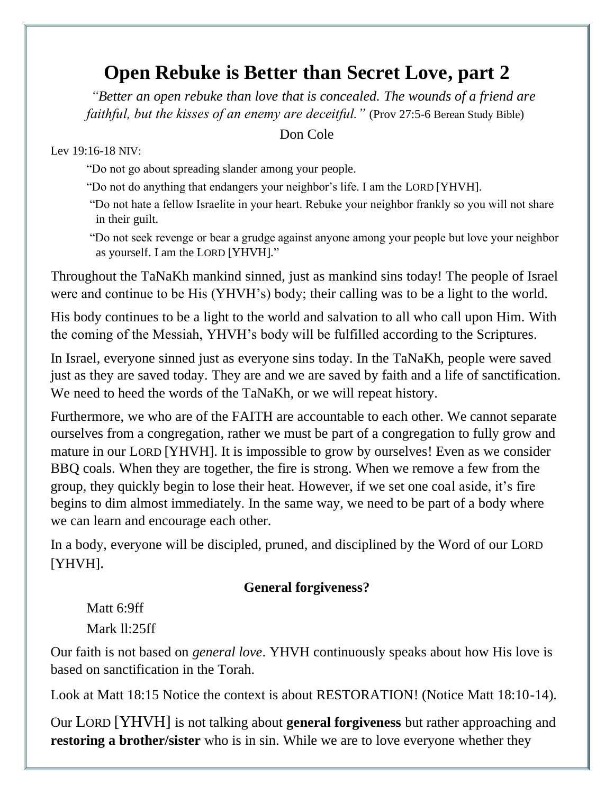## **Open Rebuke is Better than Secret Love, part 2**

*["Better](https://biblehub.com/hebrew/2896.htm) [an open](https://biblehub.com/hebrew/1540.htm) [rebuke](https://biblehub.com/hebrew/8433.htm) [than love](https://biblehub.com/hebrew/160.htm) [that is concealed.](https://biblehub.com/hebrew/5641.htm) The wounds of a friend are faithful, but the kisses of an enemy are deceitful."* (Prov 27:5-6 Berean Study Bible)

Don Cole

Lev 19:16-18 NIV:

- "Do not go about spreading slander among your people.
- "Do not do anything that endangers your neighbor's life. I am the LORD [YHVH].
- "Do not hate a fellow Israelite in your heart. Rebuke your neighbor frankly so you will not share in their guilt.
- "Do not seek revenge or bear a grudge against anyone among your people but love your neighbor as yourself. I am the LORD [YHVH]."

Throughout the TaNaKh mankind sinned, just as mankind sins today! The people of Israel were and continue to be His (YHVH's) body; their calling was to be a light to the world.

His body continues to be a light to the world and salvation to all who call upon Him. With the coming of the Messiah, YHVH's body will be fulfilled according to the Scriptures.

In Israel, everyone sinned just as everyone sins today. In the TaNaKh, people were saved just as they are saved today. They are and we are saved by faith and a life of sanctification. We need to heed the words of the TaNaKh, or we will repeat history.

Furthermore, we who are of the FAITH are accountable to each other. We cannot separate ourselves from a congregation, rather we must be part of a congregation to fully grow and mature in our LORD [YHVH]. It is impossible to grow by ourselves! Even as we consider BBQ coals. When they are together, the fire is strong. When we remove a few from the group, they quickly begin to lose their heat. However, if we set one coal aside, it's fire begins to dim almost immediately. In the same way, we need to be part of a body where we can learn and encourage each other.

In a body, everyone will be discipled, pruned, and disciplined by the Word of our LORD [YHVH].

## **General forgiveness?**

Matt 6:9ff Mark ll:25ff

Our faith is not based on *general love*. YHVH continuously speaks about how His love is based on sanctification in the Torah.

Look at Matt 18:15 Notice the context is about RESTORATION! (Notice Matt 18:10-14).

Our LORD [YHVH] is not talking about **general forgiveness** but rather approaching and **restoring a brother/sister** who is in sin. While we are to love everyone whether they